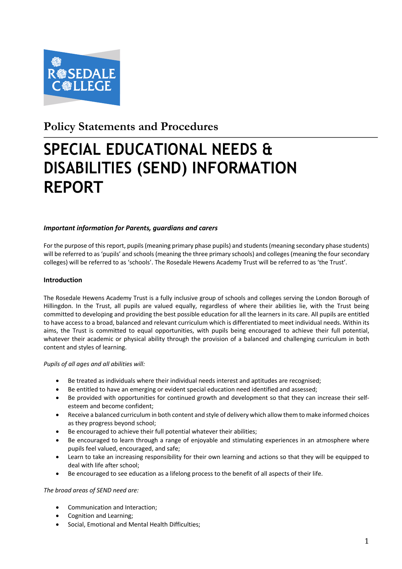

# **Policy Statements and Procedures**

# **SPECIAL EDUCATIONAL NEEDS & DISABILITIES (SEND) INFORMATION REPORT**

# *Important information for Parents, guardians and carers*

For the purpose of this report, pupils (meaning primary phase pupils) and students (meaning secondary phase students) will be referred to as 'pupils' and schools (meaning the three primary schools) and colleges (meaning the four secondary colleges) will be referred to as 'schools'. The Rosedale Hewens Academy Trust will be referred to as 'the Trust'.

# **Introduction**

The Rosedale Hewens Academy Trust is a fully inclusive group of schools and colleges serving the London Borough of Hillingdon. In the Trust, all pupils are valued equally, regardless of where their abilities lie, with the Trust being committed to developing and providing the best possible education for all the learners in its care. All pupils are entitled to have access to a broad, balanced and relevant curriculum which is differentiated to meet individual needs. Within its aims, the Trust is committed to equal opportunities, with pupils being encouraged to achieve their full potential, whatever their academic or physical ability through the provision of a balanced and challenging curriculum in both content and styles of learning.

#### *Pupils of all ages and all abilities will:*

- Be treated as individuals where their individual needs interest and aptitudes are recognised;
- Be entitled to have an emerging or evident special education need identified and assessed;
- Be provided with opportunities for continued growth and development so that they can increase their selfesteem and become confident;
- Receive a balanced curriculum in both content and style of delivery which allow them to make informed choices as they progress beyond school;
- Be encouraged to achieve their full potential whatever their abilities;
- Be encouraged to learn through a range of enjoyable and stimulating experiences in an atmosphere where pupils feel valued, encouraged, and safe;
- Learn to take an increasing responsibility for their own learning and actions so that they will be equipped to deal with life after school;
- Be encouraged to see education as a lifelong process to the benefit of all aspects of their life.

#### *The broad areas of SEND need are:*

- Communication and Interaction;
- Cognition and Learning;
- Social, Emotional and Mental Health Difficulties;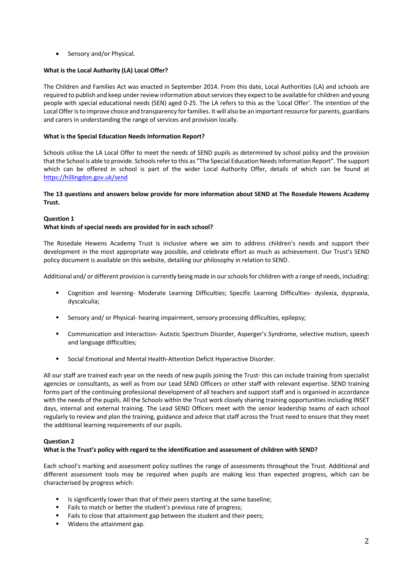• Sensory and/or Physical.

# **What is the Local Authority (LA) Local Offer?**

The Children and Families Act was enacted in September 2014. From this date, Local Authorities (LA) and schools are required to publish and keep under review information about services they expect to be available for children and young people with special educational needs (SEN) aged 0-25. The LA refers to this as the 'Local Offer'. The intention of the Local Offer is to improve choice and transparency for families. It will also be an important resource for parents, guardians and carers in understanding the range of services and provision locally.

# **What is the Special Education Needs Information Report?**

Schools utilise the LA Local Offer to meet the needs of SEND pupils as determined by school policy and the provision that the School is able to provide. Schools refer to this as "The Special Education Needs Information Report". The support which can be offered in school is part of the wider Local Authority Offer, details of which can be found at https://hillingdon.gov.uk/send

# **The 13 questions and answers below provide for more information about SEND at The Rosedale Hewens Academy Trust.**

# **Question 1 What kinds of special needs are provided for in each school?**

The Rosedale Hewens Academy Trust is inclusive where we aim to address children's needs and support their development in the most appropriate way possible, and celebrate effort as much as achievement. Our Trust's SEND policy document is available on this website, detailing our philosophy in relation to SEND.

Additional and/ or different provision is currently being made in our schools for children with a range of needs, including:

- § Cognition and learning- Moderate Learning Difficulties; Specific Learning Difficulties- dyslexia, dyspraxia, dyscalculia;
- Sensory and/ or Physical- hearing impairment, sensory processing difficulties, epilepsy;
- § Communication and Interaction- Autistic Spectrum Disorder, Asperger's Syndrome, selective mutism, speech and language difficulties;
- Social Emotional and Mental Health-Attention Deficit Hyperactive Disorder.

All our staff are trained each year on the needs of new pupils joining the Trust- this can include training from specialist agencies or consultants, as well as from our Lead SEND Officers or other staff with relevant expertise. SEND training forms part of the continuing professional development of all teachers and support staff and is organised in accordance with the needs of the pupils. All the Schools within the Trust work closely sharing training opportunities including INSET days, internal and external training. The Lead SEND Officers meet with the senior leadership teams of each school regularly to review and plan the training, guidance and advice that staff across the Trust need to ensure that they meet the additional learning requirements of our pupils.

# **Question 2**

# **What is the Trust's policy with regard to the identification and assessment of children with SEND?**

Each school's marking and assessment policy outlines the range of assessments throughout the Trust. Additional and different assessment tools may be required when pupils are making less than expected progress, which can be characterised by progress which:

- Is significantly lower than that of their peers starting at the same baseline;
- Fails to match or better the student's previous rate of progress;
- Fails to close that attainment gap between the student and their peers;
- Widens the attainment gap.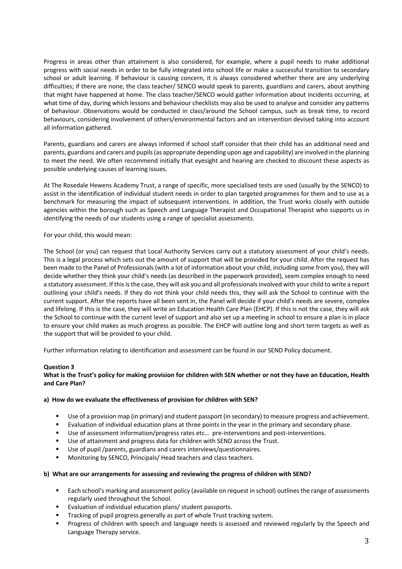Progress in areas other than attainment is also considered, for example, where a pupil needs to make additional progress with social needs in order to be fully integrated into school life or make a successful transition to secondary school or adult learning. If behaviour is causing concern, it is always considered whether there are any underlying difficulties; if there are none, the class teacher/ SENCO would speak to parents, guardians and carers, about anything that might have happened at home. The class teacher/SENCO would gather information about incidents occurring, at what time of day, during which lessons and behaviour checklists may also be used to analyse and consider any patterns of behaviour. Observations would be conducted in class/around the School campus, such as break time, to record behaviours, considering involvement of others/environmental factors and an intervention devised taking into account all information gathered.

Parents, guardians and carers are always informed if school staff consider that their child has an additional need and parents, guardians and carers and pupils (as appropriate depending upon age and capability) are involved in the planning to meet the need. We often recommend initially that eyesight and hearing are checked to discount these aspects as possible underlying causes of learning issues.

At The Rosedale Hewens Academy Trust, a range of specific, more specialised tests are used (usually by the SENCO) to assist in the identification of individual student needs in order to plan targeted programmes for them and to use as a benchmark for measuring the impact of subsequent interventions. In addition, the Trust works closely with outside agencies within the borough such as Speech and Language Therapist and Occupational Therapist who supports us in identifying the needs of our students using a range of specialist assessments.

For your child, this would mean:

The School (or you) can request that Local Authority Services carry out a statutory assessment of your child's needs. This is a legal process which sets out the amount of support that will be provided for your child. After the request has been made to the Panel of Professionals (with a lot of information about your child, including some from you), they will decide whether they think your child's needs (as described in the paperwork provided), seem complex enough to need a statutory assessment. If this is the case, they will ask you and all professionals involved with your child to write a report outlining your child's needs. If they do not think your child needs this, they will ask the School to continue with the current support. After the reports have all been sent in, the Panel will decide if your child's needs are severe, complex and lifelong. If this is the case, they will write an Education Health Care Plan (EHCP). If this is not the case, they will ask the School to continue with the current level of support and also set up a meeting in school to ensure a plan is in place to ensure your child makes as much progress as possible. The EHCP will outline long and short term targets as well as the support that will be provided to your child.

Further information relating to identification and assessment can be found in our SEND Policy document.

#### **Question 3**

# **What is the Trust's policy for making provision for children with SEN whether or not they have an Education, Health and Care Plan?**

#### **a) How do we evaluate the effectiveness of provision for children with SEN?**

- Use of a provision map (in primary) and student passport (in secondary) to measure progress and achievement.
- Evaluation of individual education plans at three points in the year in the primary and secondary phase.
- Use of assessment information/progress rates etc... pre-interventions and post-interventions.
- Use of attainment and progress data for children with SEND across the Trust.
- Use of pupil /parents, guardians and carers interviews/questionnaires.
- Monitoring by SENCO, Principals/ Head teachers and class teachers.

#### **b) What are our arrangements for assessing and reviewing the progress of children with SEND?**

- Each school's marking and assessment policy (available on request in school) outlines the range of assessments regularly used throughout the School.
- Evaluation of individual education plans/ student passports.
- Tracking of pupil progress generally as part of whole Trust tracking system.
- Progress of children with speech and language needs is assessed and reviewed regularly by the Speech and Language Therapy service.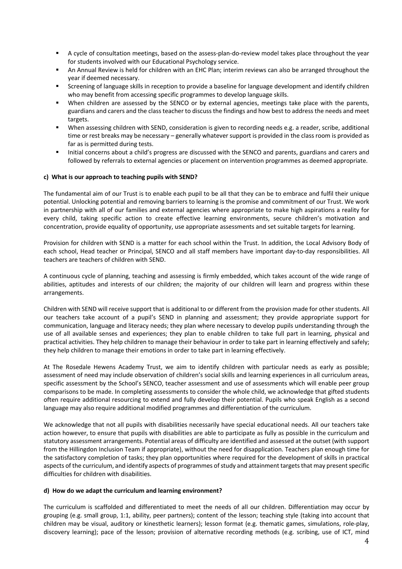- § A cycle of consultation meetings, based on the assess-plan-do-review model takes place throughout the year for students involved with our Educational Psychology service.
- § An Annual Review is held for children with an EHC Plan; interim reviews can also be arranged throughout the year if deemed necessary.
- § Screening of language skills in reception to provide a baseline for language development and identify children who may benefit from accessing specific programmes to develop language skills.
- When children are assessed by the SENCO or by external agencies, meetings take place with the parents, guardians and carers and the class teacher to discuss the findings and how best to address the needs and meet targets.
- When assessing children with SEND, consideration is given to recording needs e.g. a reader, scribe, additional time or rest breaks may be necessary – generally whatever support is provided in the class room is provided as far as is permitted during tests.
- § Initial concerns about a child's progress are discussed with the SENCO and parents, guardians and carers and followed by referrals to external agencies or placement on intervention programmes as deemed appropriate.

#### **c) What is our approach to teaching pupils with SEND?**

The fundamental aim of our Trust is to enable each pupil to be all that they can be to embrace and fulfil their unique potential. Unlocking potential and removing barriers to learning is the promise and commitment of our Trust. We work in partnership with all of our families and external agencies where appropriate to make high aspirations a reality for every child, taking specific action to create effective learning environments, secure children's motivation and concentration, provide equality of opportunity, use appropriate assessments and set suitable targets for learning.

Provision for children with SEND is a matter for each school within the Trust. In addition, the Local Advisory Body of each school, Head teacher or Principal, SENCO and all staff members have important day-to-day responsibilities. All teachers are teachers of children with SEND.

A continuous cycle of planning, teaching and assessing is firmly embedded, which takes account of the wide range of abilities, aptitudes and interests of our children; the majority of our children will learn and progress within these arrangements.

Children with SEND will receive support that is additional to or different from the provision made for other students. All our teachers take account of a pupil's SEND in planning and assessment; they provide appropriate support for communication, language and literacy needs; they plan where necessary to develop pupils understanding through the use of all available senses and experiences; they plan to enable children to take full part in learning, physical and practical activities. They help children to manage their behaviour in order to take part in learning effectively and safely; they help children to manage their emotions in order to take part in learning effectively.

At The Rosedale Hewens Academy Trust, we aim to identify children with particular needs as early as possible; assessment of need may include observation of children's social skills and learning experiences in all curriculum areas, specific assessment by the School's SENCO, teacher assessment and use of assessments which will enable peer group comparisons to be made. In completing assessments to consider the whole child, we acknowledge that gifted students often require additional resourcing to extend and fully develop their potential. Pupils who speak English as a second language may also require additional modified programmes and differentiation of the curriculum.

We acknowledge that not all pupils with disabilities necessarily have special educational needs. All our teachers take action however, to ensure that pupils with disabilities are able to participate as fully as possible in the curriculum and statutory assessment arrangements. Potential areas of difficulty are identified and assessed at the outset (with support from the Hillingdon Inclusion Team if appropriate), without the need for disapplication. Teachers plan enough time for the satisfactory completion of tasks; they plan opportunities where required for the development of skills in practical aspects of the curriculum, and identify aspects of programmes of study and attainment targets that may present specific difficulties for children with disabilities.

#### **d) How do we adapt the curriculum and learning environment?**

The curriculum is scaffolded and differentiated to meet the needs of all our children. Differentiation may occur by grouping (e.g. small group, 1:1, ability, peer partners); content of the lesson; teaching style (taking into account that children may be visual, auditory or kinesthetic learners); lesson format (e.g. thematic games, simulations, role-play, discovery learning); pace of the lesson; provision of alternative recording methods (e.g. scribing, use of ICT, mind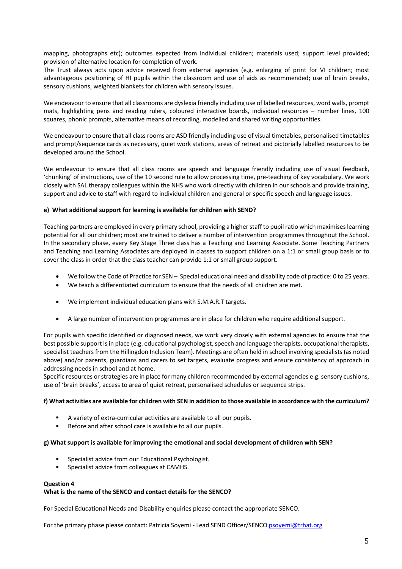mapping, photographs etc); outcomes expected from individual children; materials used; support level provided; provision of alternative location for completion of work.

The Trust always acts upon advice received from external agencies (e.g. enlarging of print for VI children; most advantageous positioning of HI pupils within the classroom and use of aids as recommended; use of brain breaks, sensory cushions, weighted blankets for children with sensory issues.

We endeavour to ensure that all classrooms are dyslexia friendly including use of labelled resources, word walls, prompt mats, highlighting pens and reading rulers, coloured interactive boards, individual resources – number lines, 100 squares, phonic prompts, alternative means of recording, modelled and shared writing opportunities.

We endeavour to ensure that all class rooms are ASD friendly including use of visual timetables, personalised timetables and prompt/sequence cards as necessary, quiet work stations, areas of retreat and pictorially labelled resources to be developed around the School.

We endeavour to ensure that all class rooms are speech and language friendly including use of visual feedback, 'chunking' of instructions, use of the 10 second rule to allow processing time, pre-teaching of key vocabulary. We work closely with SAL therapy colleagues within the NHS who work directly with children in our schools and provide training, support and advice to staff with regard to individual children and general or specific speech and language issues.

# **e) What additional support for learning is available for children with SEND?**

Teaching partners are employed in every primary school, providing a higher staff to pupil ratio which maximises learning potential for all our children; most are trained to deliver a number of intervention programmes throughout the School. In the secondary phase, every Key Stage Three class has a Teaching and Learning Associate. Some Teaching Partners and Teaching and Learning Associates are deployed in classes to support children on a 1:1 or small group basis or to cover the class in order that the class teacher can provide 1:1 or small group support.

- We follow the Code of Practice for SEN Special educational need and disability code of practice: 0 to 25 years.
- We teach a differentiated curriculum to ensure that the needs of all children are met.
- We implement individual education plans with S.M.A.R.T targets.
- A large number of intervention programmes are in place for children who require additional support.

For pupils with specific identified or diagnosed needs, we work very closely with external agencies to ensure that the best possible support is in place (e.g. educational psychologist, speech and language therapists, occupational therapists, specialist teachers from the Hillingdon Inclusion Team). Meetings are often held in school involving specialists (as noted above) and/or parents, guardians and carers to set targets, evaluate progress and ensure consistency of approach in addressing needs in school and at home.

Specific resources or strategies are in place for many children recommended by external agencies e.g. sensory cushions, use of 'brain breaks', access to area of quiet retreat, personalised schedules or sequence strips.

#### **f) What activities are available for children with SEN in addition to those available in accordance with the curriculum?**

- § A variety of extra-curricular activities are available to all our pupils.
- Before and after school care is available to all our pupils.

#### **g) What support is available for improving the emotional and social development of children with SEN?**

- § Specialist advice from our Educational Psychologist.
- Specialist advice from colleagues at CAMHS.

#### **Question 4**

#### **What is the name of the SENCO and contact details for the SENCO?**

For Special Educational Needs and Disability enquiries please contact the appropriate SENCO.

For the primary phase please contact: Patricia Soyemi - Lead SEND Officer/SENCO psoyemi@trhat.org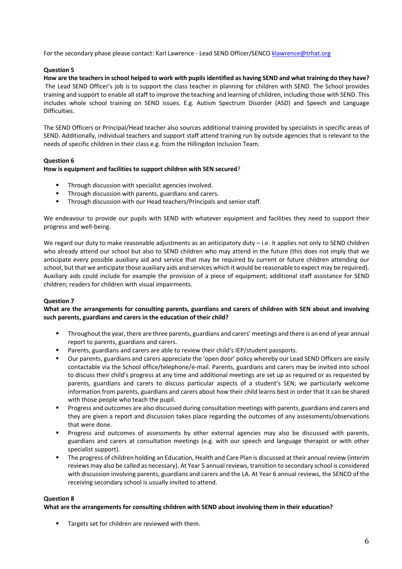For the secondary phase please contact: Karl Lawrence - Lead SEND Officer/SENCO klawrence@trhat.org

# **Question 5**

**How are the teachers in school helped to work with pupils identified as having SEND and what training do they have?** The Lead SEND Officer's job is to support the class teacher in planning for children with SEND. The School provides training and support to enable all staff to improve the teaching and learning of children, including those with SEND. This includes whole school training on SEND issues. E.g. Autism Spectrum Disorder (ASD) and Speech and Language Difficulties.

The SEND Officers or Principal/Head teacher also sources additional training provided by specialists in specific areas of SEND. Additionally, individual teachers and support staff attend training run by outside agencies that is relevant to the needs of specific children in their class e.g. from the Hillingdon Inclusion Team.

# **Question 6**

#### **How is equipment and facilities to support children with SEN secured**?

- Through discussion with specialist agencies involved.
- Through discussion with parents, guardians and carers.
- Through discussion with our Head teachers/Principals and senior staff.

We endeavour to provide our pupils with SEND with whatever equipment and facilities they need to support their progress and well-being.

We regard our duty to make reasonable adjustments as an anticipatory duty – i.e. it applies not only to SEND children who already attend our school but also to SEND children who may attend in the future (this does not imply that we anticipate every possible auxiliary aid and service that may be required by current or future children attending our school, but that we anticipate those auxiliary aids and services which it would be reasonable to expect may be required). Auxiliary aids could include for example the provision of a piece of equipment; additional staff assistance for SEND children; readers for children with visual impairments.

# **Question 7**

# **What are the arrangements for consulting parents, guardians and carers of children with SEN about and involving such parents, guardians and carers in the education of their child?**

- Throughout the year, there are three parents, guardians and carers' meetings and there is an end of year annual report to parents, guardians and carers.
- Parents, guardians and carers are able to review their child's IEP/student passports.
- § Our parents, guardians and carers appreciate the 'open door' policy whereby our Lead SEND Officers are easily contactable via the School office/telephone/e-mail. Parents, guardians and carers may be invited into school to discuss their child's progress at any time and additional meetings are set up as required or as requested by parents, guardians and carers to discuss particular aspects of a student's SEN; we particularly welcome information from parents, guardians and carers about how their child learns best in order that it can be shared with those people who teach the pupil.
- § Progress and outcomes are also discussed during consultation meetings with parents, guardians and carers and they are given a report and discussion takes place regarding the outcomes of any assessments/observations that were done.
- Progress and outcomes of assessments by other external agencies may also be discussed with parents, guardians and carers at consultation meetings (e.g. with our speech and language therapist or with other specialist support).
- The progress of children holding an Education, Health and Care Plan is discussed at their annual review (interim reviews may also be called as necessary). At Year 5 annual reviews, transition to secondary school is considered with discussion involving parents, guardians and carers and the LA. At Year 6 annual reviews, the SENCO of the receiving secondary school is usually invited to attend.

#### **Question 8**

#### **What are the arrangements for consulting children with SEND about involving them in their education?**

Targets set for children are reviewed with them.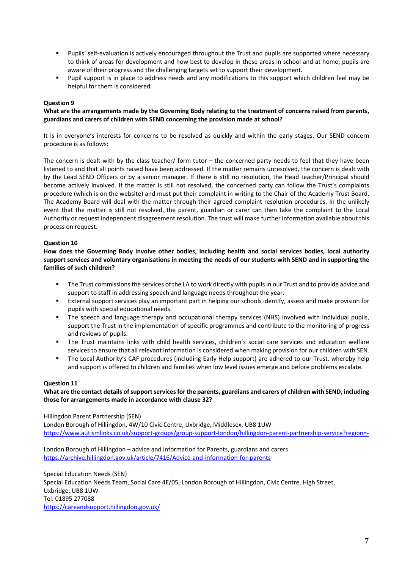- Pupils' self-evaluation is actively encouraged throughout the Trust and pupils are supported where necessary to think of areas for development and how best to develop in these areas in school and at home; pupils are aware of their progress and the challenging targets set to support their development.
- Pupil support is in place to address needs and any modifications to this support which children feel may be helpful for them is considered.

# **Question 9**

**What are the arrangements made by the Governing Body relating to the treatment of concerns raised from parents, guardians and carers of children with SEND concerning the provision made at school?**

It is in everyone's interests for concerns to be resolved as quickly and within the early stages. Our SEND concern procedure is as follows:

The concern is dealt with by the class teacher/ form tutor – the concerned party needs to feel that they have been listened to and that all points raised have been addressed. If the matter remains unresolved, the concern is dealt with by the Lead SEND Officers or by a senior manager. If there is still no resolution, the Head teacher/Principal should become actively involved. If the matter is still not resolved, the concerned party can follow the Trust's complaints procedure (which is on the website) and must put their complaint in writing to the Chair of the Academy Trust Board. The Academy Board will deal with the matter through their agreed complaint resolution procedures. In the unlikely event that the matter is still not resolved, the parent, guardian or carer can then take the complaint to the Local Authority or request independent disagreement resolution. The trust will make further information available about this process on request.

# **Question 10**

**How does the Governing Body involve other bodies, including health and social services bodies, local authority support services and voluntary organisations in meeting the needs of our students with SEND and in supporting the families of such children?**

- The Trust commissions the services of the LA to work directly with pupils in our Trust and to provide advice and support to staff in addressing speech and language needs throughout the year.
- External support services play an important part in helping our schools identify, assess and make provision for pupils with special educational needs.
- The speech and language therapy and occupational therapy services (NHS) involved with individual pupils, support the Trust in the implementation of specific programmes and contribute to the monitoring of progress and reviews of pupils.
- § The Trust maintains links with child health services, children's social care services and education welfare services to ensure that all relevant information is considered when making provision for our children with SEN.
- § The Local Authority's CAF procedures (including Early Help support) are adhered to our Trust, whereby help and support is offered to children and families when low level issues emerge and before problems escalate.

#### **Question 11**

# **What are the contact details of support services for the parents, guardians and carers of children with SEND, including those for arrangements made in accordance with clause 32?**

Hillingdon Parent Partnership (SEN)

London Borough of Hillingdon, 4W/10 Civic Centre, Uxbridge, Middlesex, UB8 1UW https://www.autismlinks.co.uk/support-groups/group-support-london/hillingdon-parent-partnership-service?region=-

London Borough of Hillingdon – advice and information for Parents, guardians and carers https://archive.hillingdon.gov.uk/article/7416/Advice-and-information-for-parents

Special Education Needs (SEN) Special Education Needs Team, Social Care 4E/05, London Borough of Hillingdon, Civic Centre, High Street, Uxbridge, UB8 1UW Tel: 01895 277088 https://careandsupport.hillingdon.gov.uk/